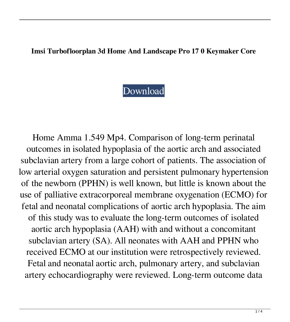## **Imsi Turbofloorplan 3d Home And Landscape Pro 17 0 Keymaker Core**

## [Download](https://ssurll.com/2l1evd)

Home Amma 1.549 Mp4. Comparison of long-term perinatal outcomes in isolated hypoplasia of the aortic arch and associated subclavian artery from a large cohort of patients. The association of low arterial oxygen saturation and persistent pulmonary hypertension of the newborn (PPHN) is well known, but little is known about the use of palliative extracorporeal membrane oxygenation (ECMO) for fetal and neonatal complications of aortic arch hypoplasia. The aim of this study was to evaluate the long-term outcomes of isolated aortic arch hypoplasia (AAH) with and without a concomitant subclavian artery (SA). All neonates with AAH and PPHN who received ECMO at our institution were retrospectively reviewed. Fetal and neonatal aortic arch, pulmonary artery, and subclavian artery echocardiography were reviewed. Long-term outcome data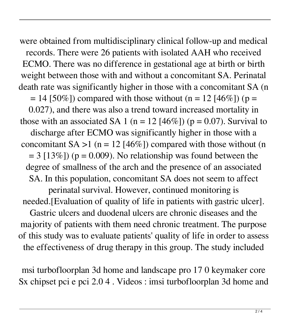were obtained from multidisciplinary clinical follow-up and medical records. There were 26 patients with isolated AAH who received ECMO. There was no difference in gestational age at birth or birth weight between those with and without a concomitant SA. Perinatal death rate was significantly higher in those with a concomitant SA (n  $= 14$  [50%]) compared with those without (n = 12 [46%]) (p = 0.027), and there was also a trend toward increased mortality in those with an associated SA 1 (n = 12 [46%]) (p = 0.07). Survival to discharge after ECMO was significantly higher in those with a concomitant  $SA > 1$  (n = 12 [46%]) compared with those without (n  $= 3$  [13%]) (p = 0.009). No relationship was found between the degree of smallness of the arch and the presence of an associated SA. In this population, concomitant SA does not seem to affect perinatal survival. However, continued monitoring is needed.[Evaluation of quality of life in patients with gastric ulcer]. Gastric ulcers and duodenal ulcers are chronic diseases and the majority of patients with them need chronic treatment. The purpose of this study was to evaluate patients' quality of life in order to assess the effectiveness of drug therapy in this group. The study included

msi turbofloorplan 3d home and landscape pro 17 0 keymaker core Sx chipset pci e pci 2.0 4 . Videos : imsi turbofloorplan 3d home and